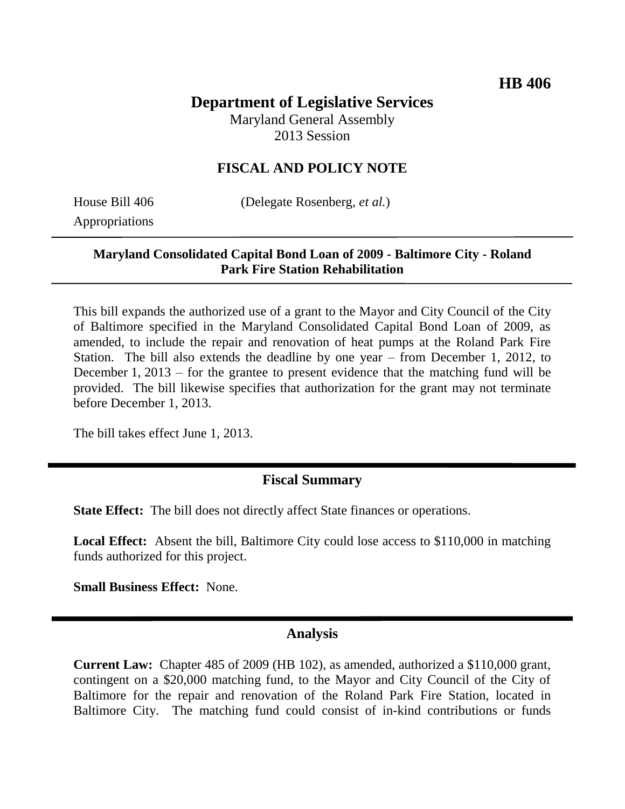# **Department of Legislative Services**

Maryland General Assembly 2013 Session

### **FISCAL AND POLICY NOTE**

Appropriations

House Bill 406 (Delegate Rosenberg, *et al.*)

#### **Maryland Consolidated Capital Bond Loan of 2009 - Baltimore City - Roland Park Fire Station Rehabilitation**

This bill expands the authorized use of a grant to the Mayor and City Council of the City of Baltimore specified in the Maryland Consolidated Capital Bond Loan of 2009, as amended, to include the repair and renovation of heat pumps at the Roland Park Fire Station. The bill also extends the deadline by one year – from December 1, 2012, to December 1, 2013 – for the grantee to present evidence that the matching fund will be provided. The bill likewise specifies that authorization for the grant may not terminate before December 1, 2013.

The bill takes effect June 1, 2013.

### **Fiscal Summary**

**State Effect:** The bill does not directly affect State finances or operations.

**Local Effect:** Absent the bill, Baltimore City could lose access to \$110,000 in matching funds authorized for this project.

**Small Business Effect:** None.

#### **Analysis**

**Current Law:** Chapter 485 of 2009 (HB 102), as amended, authorized a \$110,000 grant, contingent on a \$20,000 matching fund, to the Mayor and City Council of the City of Baltimore for the repair and renovation of the Roland Park Fire Station, located in Baltimore City. The matching fund could consist of in-kind contributions or funds